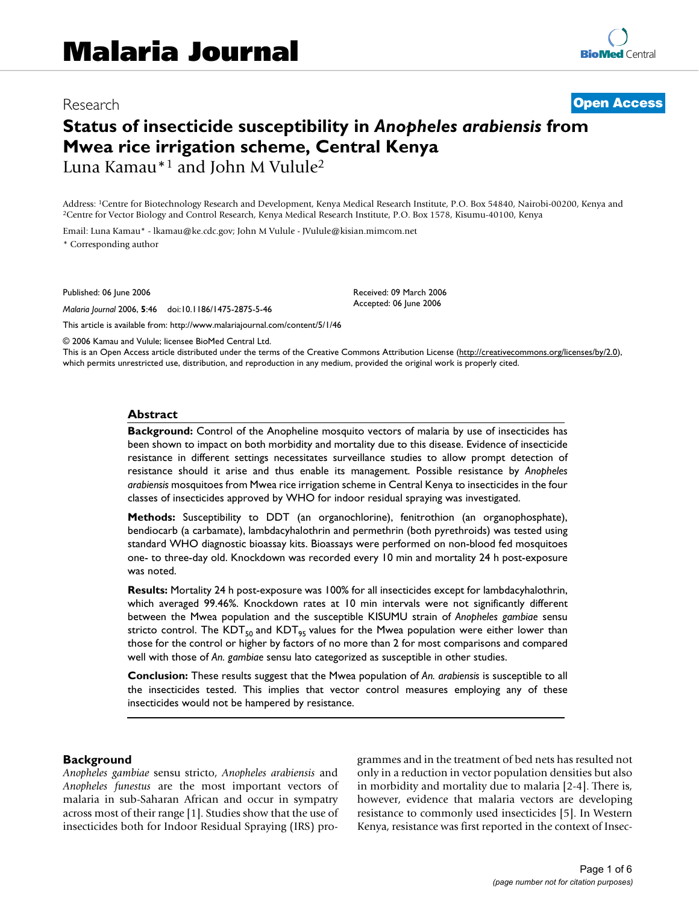## Research **[Open Access](http://www.biomedcentral.com/info/about/charter/)**

## **Status of insecticide susceptibility in** *Anopheles arabiensis* **from Mwea rice irrigation scheme, Central Kenya** Luna Kamau\*1 and John M Vulule2

Address: <sup>1</sup>Centre for Biotechnology Research and Development, Kenya Medical Research Institute, P.O. Box 54840, Nairobi-00200, Kenya and <sup>2</sup>Centre for Vector Biology and Control Research, Kenya Medical Research Institute,

Email: Luna Kamau\* - lkamau@ke.cdc.gov; John M Vulule - JVulule@kisian.mimcom.net \* Corresponding author

Published: 06 June 2006

*Malaria Journal* 2006, **5**:46 doi:10.1186/1475-2875-5-46

[This article is available from: http://www.malariajournal.com/content/5/1/46](http://www.malariajournal.com/content/5/1/46)

© 2006 Kamau and Vulule; licensee BioMed Central Ltd.

This is an Open Access article distributed under the terms of the Creative Commons Attribution License [\(http://creativecommons.org/licenses/by/2.0\)](http://creativecommons.org/licenses/by/2.0), which permits unrestricted use, distribution, and reproduction in any medium, provided the original work is properly cited.

Received: 09 March 2006 Accepted: 06 June 2006

#### **Abstract**

**Background:** Control of the Anopheline mosquito vectors of malaria by use of insecticides has been shown to impact on both morbidity and mortality due to this disease. Evidence of insecticide resistance in different settings necessitates surveillance studies to allow prompt detection of resistance should it arise and thus enable its management. Possible resistance by *Anopheles arabiensis* mosquitoes from Mwea rice irrigation scheme in Central Kenya to insecticides in the four classes of insecticides approved by WHO for indoor residual spraying was investigated.

**Methods:** Susceptibility to DDT (an organochlorine), fenitrothion (an organophosphate), bendiocarb (a carbamate), lambdacyhalothrin and permethrin (both pyrethroids) was tested using standard WHO diagnostic bioassay kits. Bioassays were performed on non-blood fed mosquitoes one- to three-day old. Knockdown was recorded every 10 min and mortality 24 h post-exposure was noted.

**Results:** Mortality 24 h post-exposure was 100% for all insecticides except for lambdacyhalothrin, which averaged 99.46%. Knockdown rates at 10 min intervals were not significantly different between the Mwea population and the susceptible KISUMU strain of *Anopheles gambiae* sensu stricto control. The KDT<sub>50</sub> and KDT<sub>95</sub> values for the Mwea population were either lower than those for the control or higher by factors of no more than 2 for most comparisons and compared well with those of *An. gambiae* sensu lato categorized as susceptible in other studies.

**Conclusion:** These results suggest that the Mwea population of *An. arabiensis* is susceptible to all the insecticides tested. This implies that vector control measures employing any of these insecticides would not be hampered by resistance.

#### **Background**

*Anopheles gambiae* sensu stricto, *Anopheles arabiensis* and *Anopheles funestus* are the most important vectors of malaria in sub-Saharan African and occur in sympatry across most of their range [1]. Studies show that the use of insecticides both for Indoor Residual Spraying (IRS) programmes and in the treatment of bed nets has resulted not only in a reduction in vector population densities but also in morbidity and mortality due to malaria [2-4]. There is, however, evidence that malaria vectors are developing resistance to commonly used insecticides [[5](#page-5-0)]. In Western Kenya, resistance was first reported in the context of Insec-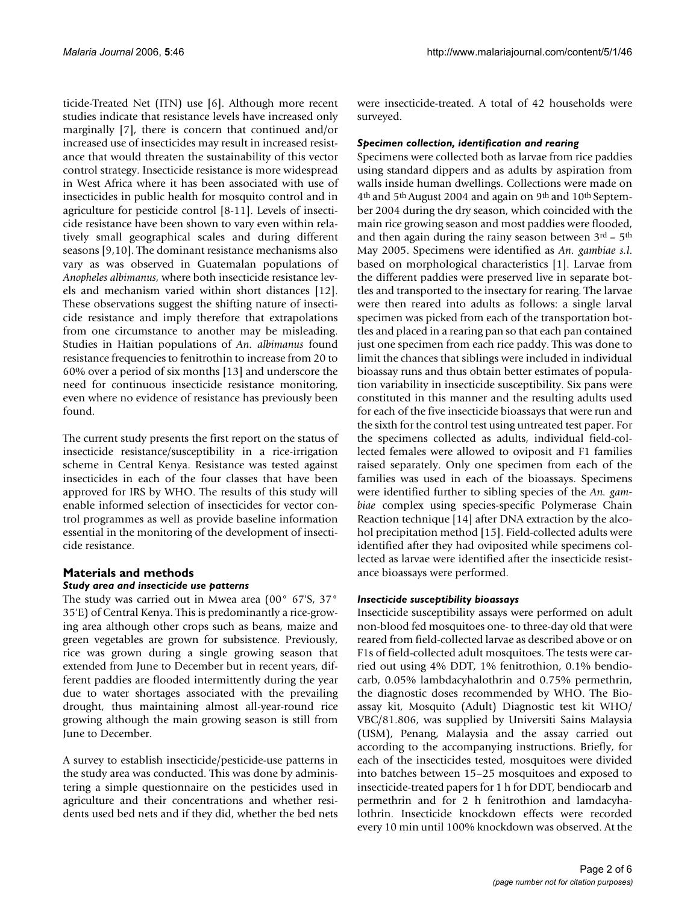ticide-Treated Net (ITN) use [\[6\]](#page-5-1). Although more recent studies indicate that resistance levels have increased only marginally [\[7\]](#page-5-2), there is concern that continued and/or increased use of insecticides may result in increased resistance that would threaten the sustainability of this vector control strategy. Insecticide resistance is more widespread in West Africa where it has been associated with use of insecticides in public health for mosquito control and in agriculture for pesticide control [8-11]. Levels of insecticide resistance have been shown to vary even within relatively small geographical scales and during different seasons [[9](#page-5-3),10]. The dominant resistance mechanisms also vary as was observed in Guatemalan populations of *Anopheles albimanus*, where both insecticide resistance levels and mechanism varied within short distances [12]. These observations suggest the shifting nature of insecticide resistance and imply therefore that extrapolations from one circumstance to another may be misleading. Studies in Haitian populations of *An. albimanus* found resistance frequencies to fenitrothin to increase from 20 to 60% over a period of six months [13] and underscore the need for continuous insecticide resistance monitoring, even where no evidence of resistance has previously been found.

The current study presents the first report on the status of insecticide resistance/susceptibility in a rice-irrigation scheme in Central Kenya. Resistance was tested against insecticides in each of the four classes that have been approved for IRS by WHO. The results of this study will enable informed selection of insecticides for vector control programmes as well as provide baseline information essential in the monitoring of the development of insecticide resistance.

# **Materials and methods**

### *Study area and insecticide use patterns*

The study was carried out in Mwea area (00° 67'S, 37° 35'E) of Central Kenya. This is predominantly a rice-growing area although other crops such as beans, maize and green vegetables are grown for subsistence. Previously, rice was grown during a single growing season that extended from June to December but in recent years, different paddies are flooded intermittently during the year due to water shortages associated with the prevailing drought, thus maintaining almost all-year-round rice growing although the main growing season is still from June to December.

A survey to establish insecticide/pesticide-use patterns in the study area was conducted. This was done by administering a simple questionnaire on the pesticides used in agriculture and their concentrations and whether residents used bed nets and if they did, whether the bed nets were insecticide-treated. A total of 42 households were surveyed.

#### *Specimen collection, identification and rearing*

Specimens were collected both as larvae from rice paddies using standard dippers and as adults by aspiration from walls inside human dwellings. Collections were made on 4<sup>th</sup> and 5<sup>th</sup> August 2004 and again on 9<sup>th</sup> and 10<sup>th</sup> September 2004 during the dry season, which coincided with the main rice growing season and most paddies were flooded, and then again during the rainy season between  $3<sup>rd</sup> - 5<sup>th</sup>$ May 2005. Specimens were identified as *An. gambiae s.l*. based on morphological characteristics [1]. Larvae from the different paddies were preserved live in separate bottles and transported to the insectary for rearing. The larvae were then reared into adults as follows: a single larval specimen was picked from each of the transportation bottles and placed in a rearing pan so that each pan contained just one specimen from each rice paddy. This was done to limit the chances that siblings were included in individual bioassay runs and thus obtain better estimates of population variability in insecticide susceptibility. Six pans were constituted in this manner and the resulting adults used for each of the five insecticide bioassays that were run and the sixth for the control test using untreated test paper. For the specimens collected as adults, individual field-collected females were allowed to oviposit and F1 families raised separately. Only one specimen from each of the families was used in each of the bioassays. Specimens were identified further to sibling species of the *An. gambiae* complex using species-specific Polymerase Chain Reaction technique [[14\]](#page-5-4) after DNA extraction by the alco-hol precipitation method [\[15](#page-5-5)]. Field-collected adults were identified after they had oviposited while specimens collected as larvae were identified after the insecticide resistance bioassays were performed.

#### *Insecticide susceptibility bioassays*

Insecticide susceptibility assays were performed on adult non-blood fed mosquitoes one- to three-day old that were reared from field-collected larvae as described above or on F1s of field-collected adult mosquitoes. The tests were carried out using 4% DDT, 1% fenitrothion, 0.1% bendiocarb, 0.05% lambdacyhalothrin and 0.75% permethrin, the diagnostic doses recommended by WHO. The Bioassay kit, Mosquito (Adult) Diagnostic test kit WHO/ VBC/81.806, was supplied by Universiti Sains Malaysia (USM), Penang, Malaysia and the assay carried out according to the accompanying instructions. Briefly, for each of the insecticides tested, mosquitoes were divided into batches between 15–25 mosquitoes and exposed to insecticide-treated papers for 1 h for DDT, bendiocarb and permethrin and for 2 h fenitrothion and lamdacyhalothrin. Insecticide knockdown effects were recorded every 10 min until 100% knockdown was observed. At the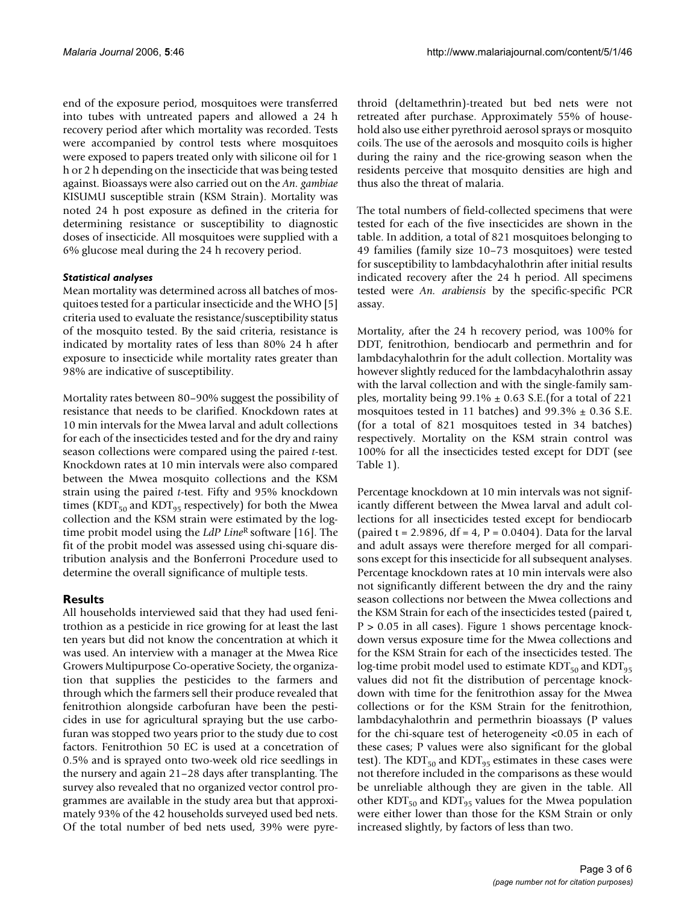end of the exposure period, mosquitoes were transferred into tubes with untreated papers and allowed a 24 h recovery period after which mortality was recorded. Tests were accompanied by control tests where mosquitoes were exposed to papers treated only with silicone oil for 1 h or 2 h depending on the insecticide that was being tested against. Bioassays were also carried out on the *An. gambiae* KISUMU susceptible strain (KSM Strain). Mortality was noted 24 h post exposure as defined in the criteria for determining resistance or susceptibility to diagnostic doses of insecticide. All mosquitoes were supplied with a 6% glucose meal during the 24 h recovery period.

#### *Statistical analyses*

Mean mortality was determined across all batches of mosquitoes tested for a particular insecticide and the WHO [\[5\]](#page-5-0) criteria used to evaluate the resistance/susceptibility status of the mosquito tested. By the said criteria, resistance is indicated by mortality rates of less than 80% 24 h after exposure to insecticide while mortality rates greater than 98% are indicative of susceptibility.

Mortality rates between 80–90% suggest the possibility of resistance that needs to be clarified. Knockdown rates at 10 min intervals for the Mwea larval and adult collections for each of the insecticides tested and for the dry and rainy season collections were compared using the paired *t-*test. Knockdown rates at 10 min intervals were also compared between the Mwea mosquito collections and the KSM strain using the paired *t*-test. Fifty and 95% knockdown times (KDT<sub>50</sub> and KDT<sub>95</sub> respectively) for both the Mwea collection and the KSM strain were estimated by the logtime probit model using the *LdP Line*R software [16]. The fit of the probit model was assessed using chi-square distribution analysis and the Bonferroni Procedure used to determine the overall significance of multiple tests.

### **Results**

All households interviewed said that they had used fenitrothion as a pesticide in rice growing for at least the last ten years but did not know the concentration at which it was used. An interview with a manager at the Mwea Rice Growers Multipurpose Co-operative Society, the organization that supplies the pesticides to the farmers and through which the farmers sell their produce revealed that fenitrothion alongside carbofuran have been the pesticides in use for agricultural spraying but the use carbofuran was stopped two years prior to the study due to cost factors. Fenitrothion 50 EC is used at a concetration of 0.5% and is sprayed onto two-week old rice seedlings in the nursery and again 21–28 days after transplanting. The survey also revealed that no organized vector control programmes are available in the study area but that approximately 93% of the 42 households surveyed used bed nets. Of the total number of bed nets used, 39% were pyrethroid (deltamethrin)-treated but bed nets were not retreated after purchase. Approximately 55% of household also use either pyrethroid aerosol sprays or mosquito coils. The use of the aerosols and mosquito coils is higher during the rainy and the rice-growing season when the residents perceive that mosquito densities are high and thus also the threat of malaria.

The total numbers of field-collected specimens that were tested for each of the five insecticides are shown in the table. In addition, a total of 821 mosquitoes belonging to 49 families (family size 10–73 mosquitoes) were tested for susceptibility to lambdacyhalothrin after initial results indicated recovery after the 24 h period. All specimens tested were *An. arabiensis* by the specific-specific PCR assay.

Mortality, after the 24 h recovery period, was 100% for DDT, fenitrothion, bendiocarb and permethrin and for lambdacyhalothrin for the adult collection. Mortality was however slightly reduced for the lambdacyhalothrin assay with the larval collection and with the single-family samples, mortality being  $99.1\% \pm 0.63$  S.E.(for a total of 221 mosquitoes tested in 11 batches) and  $99.3\% \pm 0.36$  S.E. (for a total of 821 mosquitoes tested in 34 batches) respectively. Mortality on the KSM strain control was 100% for all the insecticides tested except for DDT (see Table 1).

Percentage knockdown at 10 min intervals was not significantly different between the Mwea larval and adult collections for all insecticides tested except for bendiocarb (paired t = 2.9896, df = 4, P = 0.0404). Data for the larval and adult assays were therefore merged for all comparisons except for this insecticide for all subsequent analyses. Percentage knockdown rates at 10 min intervals were also not significantly different between the dry and the rainy season collections nor between the Mwea collections and the KSM Strain for each of the insecticides tested (paired t,  $P > 0.05$  in all cases). Figure 1 shows percentage knockdown versus exposure time for the Mwea collections and for the KSM Strain for each of the insecticides tested. The log-time probit model used to estimate  $KDT_{50}$  and  $KDT_{95}$ values did not fit the distribution of percentage knockdown with time for the fenitrothion assay for the Mwea collections or for the KSM Strain for the fenitrothion, lambdacyhalothrin and permethrin bioassays (P values for the chi-square test of heterogeneity <0.05 in each of these cases; P values were also significant for the global test). The  $KDT_{50}$  and  $KDT_{95}$  estimates in these cases were not therefore included in the comparisons as these would be unreliable although they are given in the table. All other  $KDT_{50}$  and  $KDT_{95}$  values for the Mwea population were either lower than those for the KSM Strain or only increased slightly, by factors of less than two.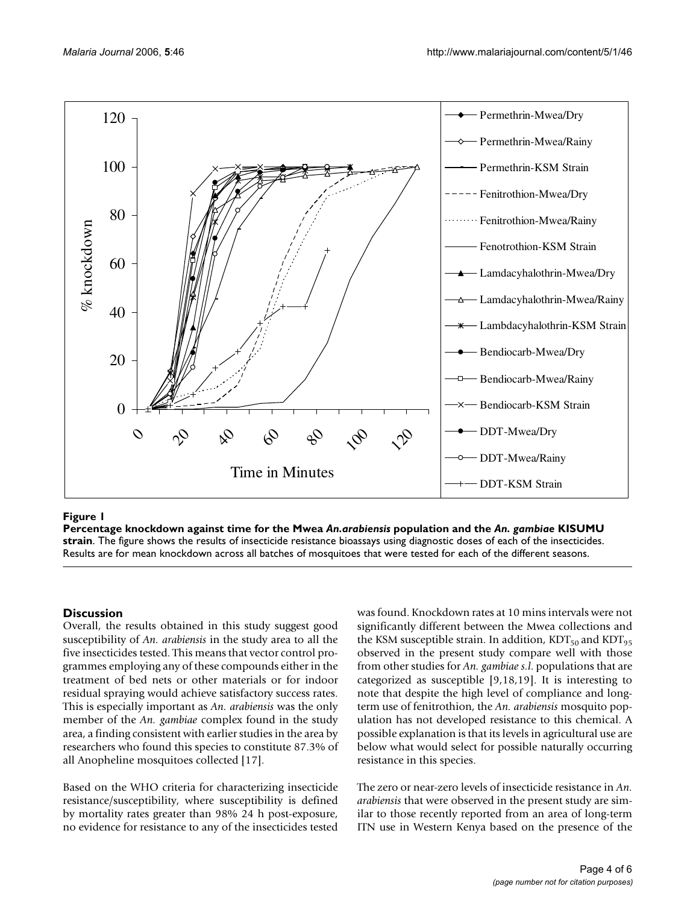

#### Percentage knockdown against time for the Mwea **Figure 1** *An.arabiensis* population and the *An. gambiae* KISUMU strain

**Percentage knockdown against time for the Mwea** *An.arabiensis* **population and the** *An. gambiae* **KISUMU strain**. The figure shows the results of insecticide resistance bioassays using diagnostic doses of each of the insecticides. Results are for mean knockdown across all batches of mosquitoes that were tested for each of the different seasons.

#### **Discussion**

Overall, the results obtained in this study suggest good susceptibility of *An. arabiensis* in the study area to all the five insecticides tested. This means that vector control programmes employing any of these compounds either in the treatment of bed nets or other materials or for indoor residual spraying would achieve satisfactory success rates. This is especially important as *An. arabiensis* was the only member of the *An. gambiae* complex found in the study area, a finding consistent with earlier studies in the area by researchers who found this species to constitute 87.3% of all Anopheline mosquitoes collected [17].

Based on the WHO criteria for characterizing insecticide resistance/susceptibility, where susceptibility is defined by mortality rates greater than 98% 24 h post-exposure, no evidence for resistance to any of the insecticides tested was found. Knockdown rates at 10 mins intervals were not significantly different between the Mwea collections and the KSM susceptible strain. In addition,  $KDT_{50}$  and  $KDT_{95}$ observed in the present study compare well with those from other studies for *An. gambiae s.l*. populations that are categorized as susceptible [\[9,](#page-5-3)18,[19](#page-5-6)]. It is interesting to note that despite the high level of compliance and longterm use of fenitrothion, the *An. arabiensis* mosquito population has not developed resistance to this chemical. A possible explanation is that its levels in agricultural use are below what would select for possible naturally occurring resistance in this species.

The zero or near-zero levels of insecticide resistance in *An. arabiensis* that were observed in the present study are similar to those recently reported from an area of long-term ITN use in Western Kenya based on the presence of the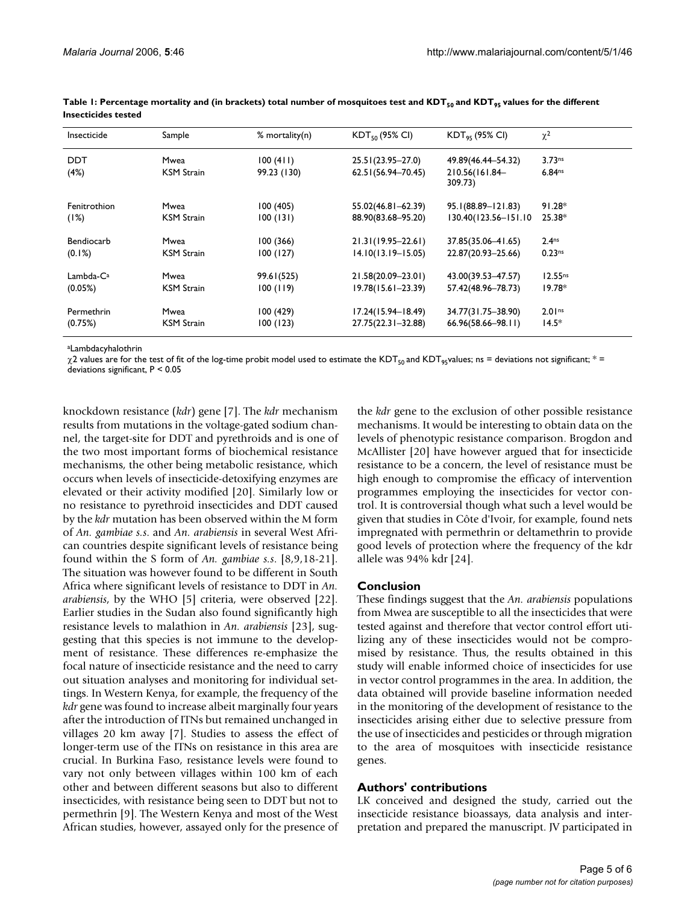| Sample            | $%$ mortality(n) | $KDT_{50}$ (95% CI)    | $KDT_{ac}$ (95% CI)       | $\chi^2$            |
|-------------------|------------------|------------------------|---------------------------|---------------------|
| Mwea              | 100(411)         | $25.51(23.95 - 27.0)$  | 49.89(46.44–54.32)        | 3.73 <sub>ns</sub>  |
| <b>KSM Strain</b> | 99.23 (130)      | $62.51(56.94 - 70.45)$ | 210.56(161.84-<br>309.73) | 6.84 <sub>ns</sub>  |
| Mwea              | 100(405)         | 55.02(46.81-62.39)     | 95.1(88.89-121.83)        | $91.28*$            |
| <b>KSM Strain</b> | 100(131)         | 88.90(83.68-95.20)     | 130.40(123.56-151.10      | $25.38*$            |
| Mwea              | 100(366)         | $21.31(19.95 - 22.61)$ | 37.85(35.06-41.65)        | 2.4 <sub>ns</sub>   |
| <b>KSM Strain</b> | 100(127)         | $14.10(13.19 - 15.05)$ | 22.87(20.93-25.66)        | 0.23 <sup>ns</sup>  |
| Mwea              | 99.61(525)       | 21.58(20.09-23.01)     | 43.00(39.53-47.57)        | 12.55 <sup>ns</sup> |
| <b>KSM Strain</b> | 100(119)         | $19.78(15.61 - 23.39)$ | 57.42(48.96-78.73)        | $19.78*$            |
| Mwea              |                  | $17.24(15.94 - 18.49)$ |                           | 2.01 <sub>ns</sub>  |
| <b>KSM Strain</b> | 100(123)         | $27.75(22.31 - 32.88)$ | $66.96(58.66 - 98.11)$    | $14.5*$             |
|                   |                  | 100(429)               |                           | 34.77(31.75-38.90)  |

Table 1: Percentage mortality and (in brackets) total number of mosquitoes test and KDT<sub>50</sub> and KDT<sub>95</sub> values for the different **Insecticides tested**

aLambdacyhalothrin

 $\chi$ 2 values are for the test of fit of the log-time probit model used to estimate the KDT<sub>50</sub> and KDT<sub>95</sub>values; ns = deviations not significant; \*= deviations significant, P < 0.05

knockdown resistance (*kdr*) gene [\[7\]](#page-5-2). The *kdr* mechanism results from mutations in the voltage-gated sodium channel, the target-site for DDT and pyrethroids and is one of the two most important forms of biochemical resistance mechanisms, the other being metabolic resistance, which occurs when levels of insecticide-detoxifying enzymes are elevated or their activity modified [20]. Similarly low or no resistance to pyrethroid insecticides and DDT caused by the *kdr* mutation has been observed within the M form of *An. gambiae s.s*. and *An. arabiensis* in several West African countries despite significant levels of resistance being found within the S form of *An. gambiae s.s*. [8[,9,](#page-5-3)18-21]. The situation was however found to be different in South Africa where significant levels of resistance to DDT in *An. arabiensis*, by the WHO [\[5](#page-5-0)] criteria, were observed [22]. Earlier studies in the Sudan also found significantly high resistance levels to malathion in *An. arabiensis* [23], suggesting that this species is not immune to the development of resistance. These differences re-emphasize the focal nature of insecticide resistance and the need to carry out situation analyses and monitoring for individual settings. In Western Kenya, for example, the frequency of the *kdr* gene was found to increase albeit marginally four years after the introduction of ITNs but remained unchanged in villages 20 km away [\[7](#page-5-2)]. Studies to assess the effect of longer-term use of the ITNs on resistance in this area are crucial. In Burkina Faso, resistance levels were found to vary not only between villages within 100 km of each other and between different seasons but also to different insecticides, with resistance being seen to DDT but not to permethrin [[9](#page-5-3)]. The Western Kenya and most of the West African studies, however, assayed only for the presence of the *kdr* gene to the exclusion of other possible resistance mechanisms. It would be interesting to obtain data on the levels of phenotypic resistance comparison. Brogdon and McAllister [20] have however argued that for insecticide resistance to be a concern, the level of resistance must be high enough to compromise the efficacy of intervention programmes employing the insecticides for vector control. It is controversial though what such a level would be given that studies in Côte d'Ivoir, for example, found nets impregnated with permethrin or deltamethrin to provide good levels of protection where the frequency of the kdr allele was 94% kdr [24].

#### **Conclusion**

These findings suggest that the *An. arabiensis* populations from Mwea are susceptible to all the insecticides that were tested against and therefore that vector control effort utilizing any of these insecticides would not be compromised by resistance. Thus, the results obtained in this study will enable informed choice of insecticides for use in vector control programmes in the area. In addition, the data obtained will provide baseline information needed in the monitoring of the development of resistance to the insecticides arising either due to selective pressure from the use of insecticides and pesticides or through migration to the area of mosquitoes with insecticide resistance genes.

#### **Authors' contributions**

LK conceived and designed the study, carried out the insecticide resistance bioassays, data analysis and interpretation and prepared the manuscript. JV participated in